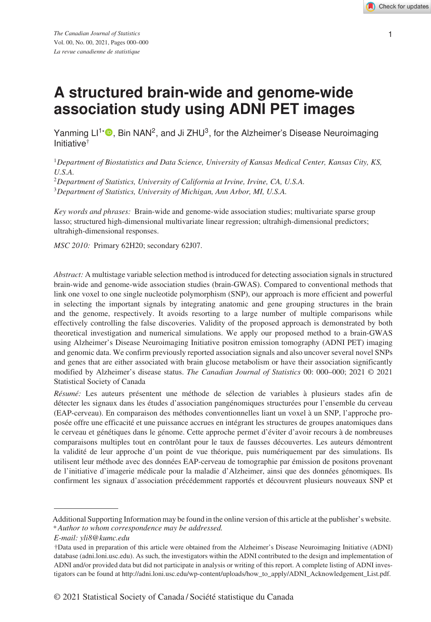# **A structured brain-wide and genome-wide association study using ADNI PET images**

Yanming  $LI^{\dagger}$  , Bin NAN<sup>2</sup>, and Ji ZHU<sup>3</sup>, for the Alzheimer's Disease Neuroimaging Initiative†

<sup>1</sup>*Department of Biostatistics and Data Science, University of Kansas Medical Center, Kansas City, KS, U.S.A.*

<sup>2</sup>*Department of Statistics, University of California at Irvine, Irvine, CA, U.S.A.*

<sup>3</sup>*Department of Statistics, University of Michigan, Ann Arbor, MI, U.S.A.*

*Key words and phrases:* Brain-wide and genome-wide association studies; multivariate sparse group lasso; structured high-dimensional multivariate linear regression; ultrahigh-dimensional predictors; ultrahigh-dimensional responses.

*MSC 2010:* Primary 62H20; secondary 62J07.

*Abstract:* A multistage variable selection method is introduced for detecting association signals in structured brain-wide and genome-wide association studies (brain-GWAS). Compared to conventional methods that link one voxel to one single nucleotide polymorphism (SNP), our approach is more efficient and powerful in selecting the important signals by integrating anatomic and gene grouping structures in the brain and the genome, respectively. It avoids resorting to a large number of multiple comparisons while effectively controlling the false discoveries. Validity of the proposed approach is demonstrated by both theoretical investigation and numerical simulations. We apply our proposed method to a brain-GWAS using Alzheimer's Disease Neuroimaging Initiative positron emission tomography (ADNI PET) imaging and genomic data. We confirm previously reported association signals and also uncover several novel SNPs and genes that are either associated with brain glucose metabolism or have their association significantly modified by Alzheimer's disease status. *The Canadian Journal of Statistics* 00: 000–000; 2021 © 2021 Statistical Society of Canada

*Résumé:* Les auteurs présentent une méthode de sélection de variables à plusieurs stades afin de détecter les signaux dans les études d'association pangénomiques structurées pour l'ensemble du cerveau (EAP-cerveau). En comparaison des méthodes conventionnelles liant un voxel à un SNP, l'approche proposée offre une efficacité et une puissance accrues en intégrant les structures de groupes anatomiques dans le cerveau et génétiques dans le génome. Cette approche permet d'éviter d'avoir recours à de nombreuses comparaisons multiples tout en contrôlant pour le taux de fausses découvertes. Les auteurs démontrent la validité de leur approche d'un point de vue théorique, puis numériquement par des simulations. Ils utilisent leur méthode avec des données EAP-cerveau de tomographie par émission de positons provenant de l'initiative d'imagerie médicale pour la maladie d'Alzheimer, ainsi que des données génomiques. Ils confirment les signaux d'association précédemment rapportés et découvrent plusieurs nouveaux SNP et

Additional Supporting Information may be found in the online version of this article at the publisher's website. \**Author to whom correspondence may be addressed.*

*E-mail: yli8@kumc.edu*

<sup>†</sup>Data used in preparation of this article were obtained from the Alzheimer's Disease Neuroimaging Initiative (ADNI) database (adni.loni.usc.edu). As such, the investigators within the ADNI contributed to the design and implementation of ADNI and/or provided data but did not participate in analysis or writing of this report. A complete listing of ADNI investigators can be found at http://adni.loni.usc.edu/wp-content/uploads/how\_to\_apply/ADNI\_Acknowledgement\_List.pdf.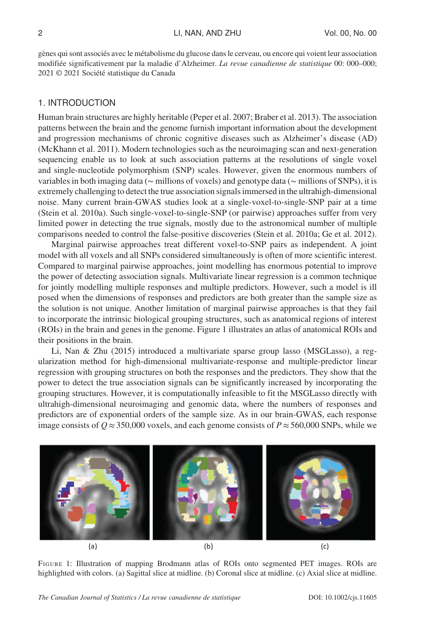gènes qui sont associés avec le métabolisme du glucose dans le cerveau, ou encore qui voient leur association modifiée significativement par la maladie d'Alzheimer. *La revue canadienne de statistique* 00: 000–000; 2021 © 2021 Société statistique du Canada

# 1. INTRODUCTION

Human brain structures are highly heritable (Peper et al. 2007; Braber et al. 2013). The association patterns between the brain and the genome furnish important information about the development and progression mechanisms of chronic cognitive diseases such as Alzheimer's disease (AD) (McKhann et al. 2011). Modern technologies such as the neuroimaging scan and next-generation sequencing enable us to look at such association patterns at the resolutions of single voxel and single-nucleotide polymorphism (SNP) scales. However, given the enormous numbers of variables in both imaging data (∼ millions of voxels) and genotype data (∼ millions of SNPs), it is extremely challenging to detect the true association signals immersed in the ultrahigh-dimensional noise. Many current brain-GWAS studies look at a single-voxel-to-single-SNP pair at a time (Stein et al. 2010a). Such single-voxel-to-single-SNP (or pairwise) approaches suffer from very limited power in detecting the true signals, mostly due to the astronomical number of multiple comparisons needed to control the false-positive discoveries (Stein et al. 2010a; Ge et al. 2012).

Marginal pairwise approaches treat different voxel-to-SNP pairs as independent. A joint model with all voxels and all SNPs considered simultaneously is often of more scientific interest. Compared to marginal pairwise approaches, joint modelling has enormous potential to improve the power of detecting association signals. Multivariate linear regression is a common technique for jointly modelling multiple responses and multiple predictors. However, such a model is ill posed when the dimensions of responses and predictors are both greater than the sample size as the solution is not unique. Another limitation of marginal pairwise approaches is that they fail to incorporate the intrinsic biological grouping structures, such as anatomical regions of interest (ROIs) in the brain and genes in the genome. Figure 1 illustrates an atlas of anatomical ROIs and their positions in the brain.

Li, Nan & Zhu (2015) introduced a multivariate sparse group lasso (MSGLasso), a regularization method for high-dimensional multivariate-response and multiple-predictor linear regression with grouping structures on both the responses and the predictors. They show that the power to detect the true association signals can be significantly increased by incorporating the grouping structures. However, it is computationally infeasible to fit the MSGLasso directly with ultrahigh-dimensional neuroimaging and genomic data, where the numbers of responses and predictors are of exponential orders of the sample size. As in our brain-GWAS, each response image consists of  $Q \approx 350,000$  voxels, and each genome consists of  $P \approx 560,000$  SNPs, while we



FIGURE 1: Illustration of mapping Brodmann atlas of ROIs onto segmented PET images. ROIs are highlighted with colors. (a) Sagittal slice at midline. (b) Coronal slice at midline. (c) Axial slice at midline.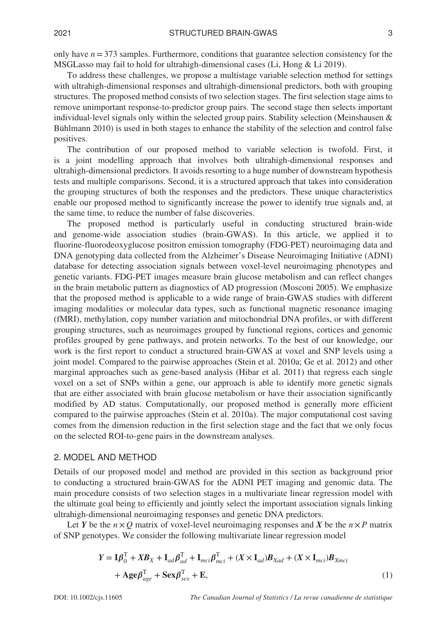only have *n*=373 samples. Furthermore, conditions that guarantee selection consistency for the MSGLasso may fail to hold for ultrahigh-dimensional cases (Li, Hong & Li 2019).

To address these challenges, we propose a multistage variable selection method for settings with ultrahigh-dimensional responses and ultrahigh-dimensional predictors, both with grouping structures. The proposed method consists of two selection stages. The first selection stage aims to remove unimportant response-to-predictor group pairs. The second stage then selects important individual-level signals only within the selected group pairs. Stability selection (Meinshausen  $\&$ Bühlmann 2010) is used in both stages to enhance the stability of the selection and control false positives.

The contribution of our proposed method to variable selection is twofold. First, it is a joint modelling approach that involves both ultrahigh-dimensional responses and ultrahigh-dimensional predictors. It avoids resorting to a huge number of downstream hypothesis tests and multiple comparisons. Second, it is a structured approach that takes into consideration the grouping structures of both the responses and the predictors. These unique characteristics enable our proposed method to significantly increase the power to identify true signals and, at the same time, to reduce the number of false discoveries.

The proposed method is particularly useful in conducting structured brain-wide and genome-wide association studies (brain-GWAS). In this article, we applied it to fluorine-fluorodeoxyglucose positron emission tomography (FDG-PET) neuroimaging data and DNA genotyping data collected from the Alzheimer's Disease Neuroimaging Initiative (ADNI) database for detecting association signals between voxel-level neuroimaging phenotypes and genetic variants. FDG-PET images measure brain glucose metabolism and can reflect changes in the brain metabolic pattern as diagnostics of AD progression (Mosconi 2005). We emphasize that the proposed method is applicable to a wide range of brain-GWAS studies with different imaging modalities or molecular data types, such as functional magnetic resonance imaging (fMRI), methylation, copy number variation and mitochondrial DNA profiles, or with different grouping structures, such as neuroimages grouped by functional regions, cortices and genomic profiles grouped by gene pathways, and protein networks. To the best of our knowledge, our work is the first report to conduct a structured brain-GWAS at voxel and SNP levels using a joint model. Compared to the pairwise approaches (Stein et al. 2010a; Ge et al. 2012) and other marginal approaches such as gene-based analysis (Hibar et al. 2011) that regress each single voxel on a set of SNPs within a gene, our approach is able to identify more genetic signals that are either associated with brain glucose metabolism or have their association significantly modified by AD status. Computationally, our proposed method is generally more efficient compared to the pairwise approaches (Stein et al. 2010a). The major computational cost saving comes from the dimension reduction in the first selection stage and the fact that we only focus on the selected ROI-to-gene pairs in the downstream analyses.

## 2. MODEL AND METHOD

Details of our proposed model and method are provided in this section as background prior to conducting a structured brain-GWAS for the ADNI PET imaging and genomic data. The main procedure consists of two selection stages in a multivariate linear regression model with the ultimate goal being to efficiently and jointly select the important association signals linking ultrahigh-dimensional neuroimaging responses and genetic DNA predictors.

Let *Y* be the  $n \times Q$  matrix of voxel-level neuroimaging responses and *X* be the  $n \times P$  matrix of SNP genotypes. We consider the following multivariate linear regression model

$$
Y = \mathbf{I}\boldsymbol{\beta}_0^{\mathrm{T}} + X\mathbf{B}_X + \mathbf{I}_{ad}\boldsymbol{\beta}_{ad}^{\mathrm{T}} + \mathbf{I}_{mci}\boldsymbol{\beta}_{mci}^{\mathrm{T}} + (X \times \mathbf{I}_{ad})\mathbf{B}_{Xad} + (X \times \mathbf{I}_{mci})\mathbf{B}_{Xmci}
$$

$$
+ \mathbf{Age}\boldsymbol{\beta}_{age}^{\mathrm{T}} + \mathbf{Sex}\boldsymbol{\beta}_{sex}^{\mathrm{T}} + \mathbf{E}, \tag{1}
$$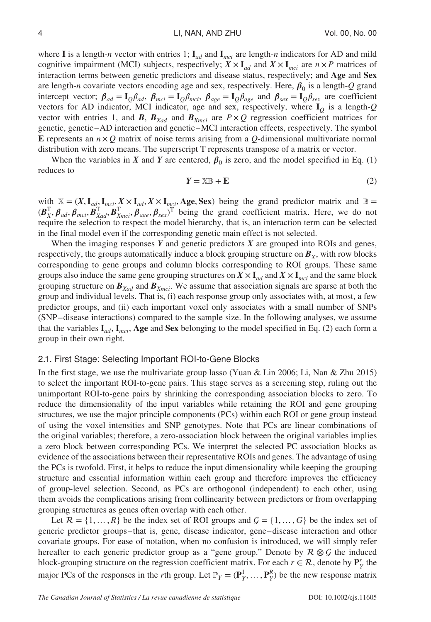where **I** is a length-*n* vector with entries 1;  $I_{ad}$  and  $I_{mci}$  are length-*n* indicators for AD and mild cognitive impairment (MCI) subjects, respectively;  $X \times I_{ad}$  and  $X \times I_{mci}$  are  $n \times P$  matrices of interaction terms between genetic predictors and disease status, respectively; and Age and Sex are length-*n* covariate vectors encoding age and sex, respectively. Here,  $\beta_0$  is a length-*Q* grand intercept vector;  $\beta_{ad} = I_Q \beta_{ad}$ ,  $\beta_{mci} = I_Q \beta_{mci}$ ,  $\beta_{age} = I_Q \beta_{age}$  and  $\beta_{sex} = I_Q \beta_{sex}$  are coefficient vectors for AD indicator, MCI indicator, age and sex, respectively, where I*<sup>Q</sup>* is a length-*Q* vector with entries 1, and *B*,  $B_{X_{rad}}$  and  $B_{X_{mci}}$  are  $P \times Q$  regression coefficient matrices for genetic, genetic–AD interaction and genetic–MCI interaction effects, respectively. The symbol E represents an  $n \times Q$  matrix of noise terms arising from a  $Q$ -dimensional multivariate normal distribution with zero means. The superscript T represents transpose of a matrix or vector.

When the variables in *X* and *Y* are centered,  $\beta_0$  is zero, and the model specified in Eq. (1) reduces to

$$
Y = \mathbb{X}\mathbb{B} + \mathbb{E} \tag{2}
$$

with  $X = (X, I_{ad}, I_{mci}, X \times I_{ad}, X \times I_{mci},$  Age, Sex) being the grand predictor matrix and  $\mathbb{B} =$  $(B_X^T, \beta_{ad}, \beta_{mci}, B_{Xad}^T, B_{Xmci}^T, \beta_{age}, \beta_{sex})$ <sup>T</sup> being the grand coefficient matrix. Here, we do not require the selection to respect the model hierarchy, that is, an interaction term can be selected in the final model even if the corresponding genetic main effect is not selected.

When the imaging responses *Y* and genetic predictors *X* are grouped into ROIs and genes, respectively, the groups automatically induce a block grouping structure on  $B_X$ , with row blocks corresponding to gene groups and column blocks corresponding to ROI groups. These same groups also induce the same gene grouping structures on  $X \times I_{ad}$  and  $X \times I_{mci}$  and the same block grouping structure on  $B_{Xad}$  and  $B_{Xmci}$ . We assume that association signals are sparse at both the group and individual levels. That is, (i) each response group only associates with, at most, a few predictor groups, and (ii) each important voxel only associates with a small number of SNPs (SNP–disease interactions) compared to the sample size. In the following analyses, we assume that the variables  $I_{ad}$ ,  $I_{mci}$ , Age and Sex belonging to the model specified in Eq. (2) each form a group in their own right.

#### 2.1. First Stage: Selecting Important ROI-to-Gene Blocks

In the first stage, we use the multivariate group lasso (Yuan & Lin 2006; Li, Nan & Zhu 2015) to select the important ROI-to-gene pairs. This stage serves as a screening step, ruling out the unimportant ROI-to-gene pairs by shrinking the corresponding association blocks to zero. To reduce the dimensionality of the input variables while retaining the ROI and gene grouping structures, we use the major principle components (PCs) within each ROI or gene group instead of using the voxel intensities and SNP genotypes. Note that PCs are linear combinations of the original variables; therefore, a zero-association block between the original variables implies a zero block between corresponding PCs. We interpret the selected PC association blocks as evidence of the associations between their representative ROIs and genes. The advantage of using the PCs is twofold. First, it helps to reduce the input dimensionality while keeping the grouping structure and essential information within each group and therefore improves the efficiency of group-level selection. Second, as PCs are orthogonal (independent) to each other, using them avoids the complications arising from collinearity between predictors or from overlapping grouping structures as genes often overlap with each other.

Let  $\mathcal{R} = \{1, \ldots, R\}$  be the index set of ROI groups and  $\mathcal{G} = \{1, \ldots, G\}$  be the index set of generic predictor groups–that is, gene, disease indicator, gene–disease interaction and other covariate groups. For ease of notation, when no confusion is introduced, we will simply refer hereafter to each generic predictor group as a "gene group." Denote by  $\mathcal{R} \otimes \mathcal{G}$  the induced block-grouping structure on the regression coefficient matrix. For each  $r \in \mathcal{R}$ , denote by  $P^r_Y$  the major PCs of the responses in the *r*th group. Let  $\mathbb{P}_Y = (\mathbf{P}_Y^1, \dots, \mathbf{P}_Y^R)$  be the new response matrix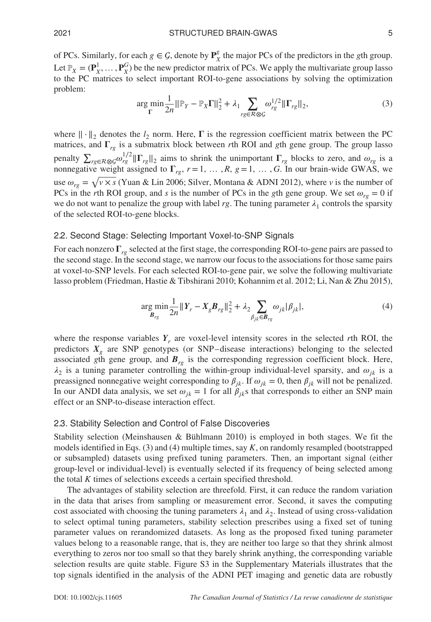of PCs. Similarly, for each  $g \in \mathcal{G}$ , denote by  $\mathbf{P}_{X}^{g}$  the major PCs of the predictors in the *g*th group. Let  $\mathbb{P}_X = (\mathbf{P}_X^1, \dots, \mathbf{P}_X^G)$  be the new predictor matrix of PCs. We apply the multivariate group lasso to the PC matrices to select important ROI-to-gene associations by solving the optimization problem:

$$
\underset{\Gamma}{\arg\min} \frac{1}{2n} \|\mathbb{P}_Y - \mathbb{P}_X \Gamma\|_2^2 + \lambda_1 \sum_{r g \in \mathcal{R} \otimes \mathcal{G}} \omega_{r g}^{1/2} \|\Gamma_{r g}\|_2,\tag{3}
$$

where  $\|\cdot\|_2$  denotes the  $l_2$  norm. Here,  $\Gamma$  is the regression coefficient matrix between the PC matrices, and  $\Gamma_{rg}$  is a submatrix block between *r*th ROI and *g*th gene group. The group lasso penalty  $\sum_{rg \in R \otimes \mathcal{G}} \omega_{rg}^{1/2} || \Gamma_{rg} ||_2$  aims to shrink the unimportant  $\Gamma_{rg}$  blocks to zero, and  $\omega_{rg}$  is a nonnegative weight assigned to  $\Gamma_{rg}$ ,  $r = 1, \ldots, R$ ,  $g = 1, \ldots, G$ . In our brain-wide GWAS, we use  $\omega_{re} = \sqrt{v \times s}$  (Yuan & Lin 2006; Silver, Montana & ADNI 2012), where *v* is the number of PCs in the *r*th ROI group, and *s* is the number of PCs in the *g*th gene group. We set  $\omega_{r} = 0$  if we do not want to penalize the group with label  $rg$ . The tuning parameter  $\lambda_1$  controls the sparsity of the selected ROI-to-gene blocks.

### 2.2. Second Stage: Selecting Important Voxel-to-SNP Signals

For each nonzero  $\Gamma_{rg}$  selected at the first stage, the corresponding ROI-to-gene pairs are passed to the second stage. In the second stage, we narrow our focus to the associations for those same pairs at voxel-to-SNP levels. For each selected ROI-to-gene pair, we solve the following multivariate lasso problem (Friedman, Hastie & Tibshirani 2010; Kohannim et al. 2012; Li, Nan & Zhu 2015),

$$
\underset{\mathcal{B}_{rg}}{\arg \min} \frac{1}{2n} \| Y_r - X_g \mathcal{B}_{rg} \|_2^2 + \lambda_2 \sum_{\beta_{jk} \in \mathcal{B}_{rg}} \omega_{jk} |\beta_{jk}|,\tag{4}
$$

where the response variables  $Y_r$  are voxel-level intensity scores in the selected *r*th ROI, the predictors  $X_\varphi$  are SNP genotypes (or SNP–disease interactions) belonging to the selected associated *g*th gene group, and  $B_{rg}$  is the corresponding regression coefficient block. Here,  $\lambda_2$  is a tuning parameter controlling the within-group individual-level sparsity, and  $\omega_{ik}$  is a preassigned nonnegative weight corresponding to  $\beta_{jk}$ . If  $\omega_{jk} = 0$ , then  $\beta_{jk}$  will not be penalized. In our ANDI data analysis, we set  $\omega_{jk} = 1$  for all  $\beta_{jk}$  that corresponds to either an SNP main effect or an SNP-to-disease interaction effect.

#### 2.3. Stability Selection and Control of False Discoveries

Stability selection (Meinshausen & Bühlmann 2010) is employed in both stages. We fit the models identified in Eqs. (3) and (4) multiple times, say *K*, on randomly resampled (bootstrapped or subsampled) datasets using prefixed tuning parameters. Then, an important signal (either group-level or individual-level) is eventually selected if its frequency of being selected among the total *K* times of selections exceeds a certain specified threshold.

The advantages of stability selection are threefold. First, it can reduce the random variation in the data that arises from sampling or measurement error. Second, it saves the computing cost associated with choosing the tuning parameters  $\lambda_1$  and  $\lambda_2$ . Instead of using cross-validation to select optimal tuning parameters, stability selection prescribes using a fixed set of tuning parameter values on rerandomized datasets. As long as the proposed fixed tuning parameter values belong to a reasonable range, that is, they are neither too large so that they shrink almost everything to zeros nor too small so that they barely shrink anything, the corresponding variable selection results are quite stable. Figure S3 in the Supplementary Materials illustrates that the top signals identified in the analysis of the ADNI PET imaging and genetic data are robustly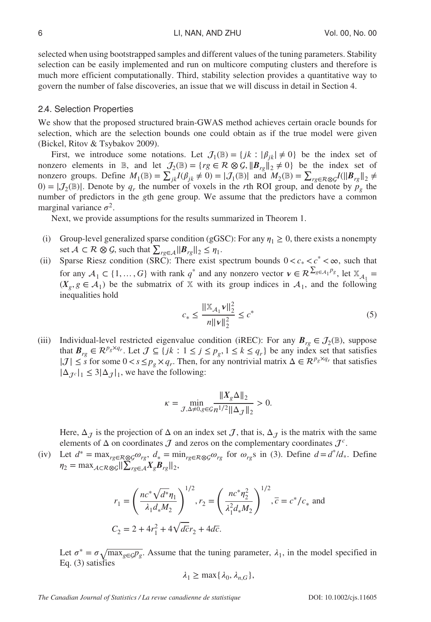selected when using bootstrapped samples and different values of the tuning parameters. Stability selection can be easily implemented and run on multicore computing clusters and therefore is much more efficient computationally. Third, stability selection provides a quantitative way to govern the number of false discoveries, an issue that we will discuss in detail in Section 4.

#### 2.4. Selection Properties

We show that the proposed structured brain-GWAS method achieves certain oracle bounds for selection, which are the selection bounds one could obtain as if the true model were given (Bickel, Ritov & Tsybakov 2009).

First, we introduce some notations. Let  $J_1(\mathbb{B}) = \{jk : |\beta_{ik}| \neq 0\}$  be the index set of nonzero elements in B, and let  $\mathcal{J}_2(\mathbb{B}) = \{rg \in \mathcal{R} \otimes \mathcal{G}, ||B_{rg}||_2 \neq 0\}$  be the index set of nonzero groups. Define  $M_1(\mathbb{B}) = \sum_{j,k} I(\beta_{jk} \neq 0) = |J_1(\mathbb{B})|$  and  $M_2(\mathbb{B}) = \sum_{r g \in R \otimes Q} I(||B_{rg}||_2 \neq 0)$  $(0) = |\mathcal{J}_2(\mathbb{B})|$ . Denote by  $q_r$  the number of voxels in the *r*th ROI group, and denote by  $p_g$  the number of predictors in the *g*th gene group. We assume that the predictors have a common marginal variance  $\sigma^2$ .

Next, we provide assumptions for the results summarized in Theorem 1.

- (i) Group-level generalized sparse condition (gGSC): For any  $\eta_1 \ge 0$ , there exists a nonempty set *A* ⊂ *R* ⊗ *G*, such that  $\sum_{rg \in A} ||B_{rg}||_2 \le \eta_1$ .
- (ii) Sparse Riesz condition (SRC): There exist spectrum bounds  $0 < c_* < c^* < \infty$ , such that for any  $A_1 \subset \{1, ..., G\}$  with rank  $q^*$  and any nonzero vector  $v \in \mathcal{R}^{\sum_{g \in A_1} p_g}$ , let  $\mathbb{X}_{A_1} =$  $(X_g, g \in A_1)$  be the submatrix of X with its group indices in  $A_1$ , and the following inequalities hold

$$
c_* \le \frac{\|\mathbb{X}_{\mathcal{A}_1} \mathbf{v}\|_2^2}{n \|\mathbf{v}\|_2^2} \le c^* \tag{5}
$$

(iii) Individual-level restricted eigenvalue condition (iREC): For any  $B_{rg} \in J_2(\mathbb{B})$ , suppose that  $B_{rg} \in \mathbb{R}^{p_g \times q_r}$ . Let  $\mathcal{J} \subseteq \{jk : 1 \le j \le p_g, 1 \le k \le q_r\}$  be any index set that satisfies  $|J| \leq s$  for some  $0 < s \leq p_g \times q_r$ . Then, for any nontrivial matrix  $\Delta \in \mathbb{R}^{p_g \times q_r}$  that satisfies  $|\Delta_{\tau_c}|_1 \leq 3|\Delta_{\tau}|_1$ , we have the following:

$$
\kappa = \min_{\mathcal{J}, \Delta \neq 0, g \in \mathcal{G}} \frac{\|X_g \Delta\|_2}{n^{1/2} \|\Delta_{\mathcal{J}}\|_2} > 0.
$$

Here,  $\Delta_{\mathcal{J}}$  is the projection of  $\Delta$  on an index set  $\mathcal{J}$ , that is,  $\Delta_{\mathcal{J}}$  is the matrix with the same elements of  $\Delta$  on coordinates  $\mathcal J$  and zeros on the complementary coordinates  $\mathcal J^c$ .

(iv) Let  $d^* = \max_{r g \in \mathcal{R} \otimes \mathcal{G}} \omega_{r g}, d_* = \min_{r g \in \mathcal{R} \otimes \mathcal{G}} \omega_{r g}$  for  $\omega_{r g}$ s in (3). Define  $d = d^* / d_*$ . Define  $\eta_2 = \max_{A \subset \mathcal{R}} \sum_{g \in \mathcal{A}}^{\infty} \left| \sum_{rg \in \mathcal{A}}^{\infty} X_g B_{rg} \right|_{2},$ 

$$
r_1 = \left(\frac{nc^* \sqrt{d^*} \eta_1}{\lambda_1 d_* M_2}\right)^{1/2}, r_2 = \left(\frac{nc^* \eta_2^2}{\lambda_1^2 d_* M_2}\right)^{1/2}, \overline{c} = c^* / c_* \text{ and}
$$
  

$$
C_2 = 2 + 4r_1^2 + 4\sqrt{d\overline{c}}r_2 + 4d\overline{c}.
$$

Let  $\sigma^* = \sigma \sqrt{\max_{g \in \mathcal{GP}_g}}$ . Assume that the tuning parameter,  $\lambda_1$ , in the model specified in Eq. (3) satisfies

$$
\lambda_1 \ge \max\{\lambda_0, \lambda_{n,G}\},\
$$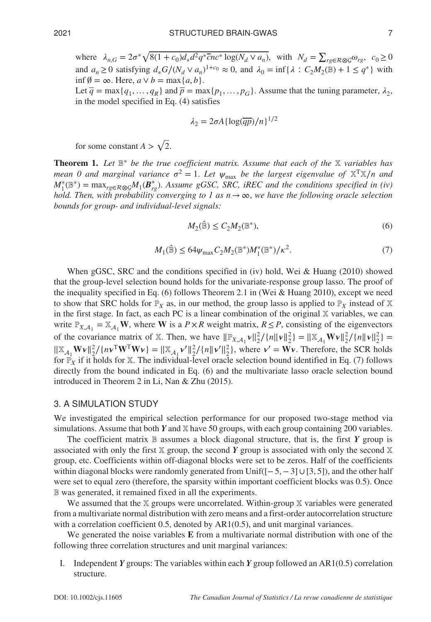where  $\lambda_{n,G} = 2\sigma^* \sqrt{8(1+c_0)d_*d^2q^* \overline{c}nc^* \log(N_d \vee a_n)}$ , with  $N_d = \sum_{r g \in R \otimes G} \omega_{rg}$ ,  $c_0 \ge 0$ and  $a_n \ge 0$  satisfying  $d_* G/(N_d \vee a_n)^{1+c_0} \approx 0$ , and  $\lambda_0 = \inf \{ \lambda : C_2 M_2(\mathbb{B}) + 1 \le q^* \}$  with inf  $\emptyset$  = ∞. Here, *a* ∨ *b* = max{*a*, *b*}.

Let  $\overline{q}$  = max{ $q_1, \ldots, q_R$ } and  $\overline{p}$  = max{ $p_1, \ldots, p_G$ }. Assume that the tuning parameter,  $\lambda_2$ , in the model specified in Eq. (4) satisfies

$$
\lambda_2 = 2\sigma A \{\log(\overline{qp})/n\}^{1/2}
$$

for some constant  $A > \sqrt{2}$ .

Theorem 1. *Let* B<sup>∗</sup> *be the true coefficient matrix. Assume that each of the* X *variables has mean 0 and marginal variance*  $\sigma^2 = 1$ *. Let*  $\psi_{\text{max}}$  *be the largest eigenvalue of*  $X^T X/n$  *and*  $M_1^*(\mathbb{B}^*) = \max_{rg \in R \otimes \mathcal{G}} M_1(\mathcal{B}_{rg}^*)$ . *Assume gGSC, SRC, iREC and the conditions specified in (iv) hold. Then, with probability converging to 1 as*  $n \rightarrow \infty$ *, we have the following oracle selection bounds for group- and individual-level signals:*

$$
M_2(\hat{\mathbb{B}}) \le C_2 M_2(\mathbb{B}^*),\tag{6}
$$

$$
M_1(\hat{\mathbb{B}}) \le 64\psi_{\text{max}} C_2 M_2(\mathbb{B}^*) M_1^*(\mathbb{B}^*) / \kappa^2. \tag{7}
$$

When gGSC, SRC and the conditions specified in (iv) hold, Wei & Huang (2010) showed that the group-level selection bound holds for the univariate-response group lasso. The proof of the inequality specified in Eq. (6) follows Theorem 2.1 in (Wei & Huang 2010), except we need to show that SRC holds for  $\mathbb{P}_X$  as, in our method, the group lasso is applied to  $\mathbb{P}_X$  instead of X in the first stage. In fact, as each PC is a linear combination of the original  $X$  variables, we can write  $\mathbb{P}_{X,A_1} = \mathbb{X}_{A_1}$  **W**, where **W** is a  $P \times R$  weight matrix,  $R \leq P$ , consisting of the eigenvectors of the covariance matrix of X. Then, we have  $\|\mathbb{P}_{X,A_1} v\|_2^2 / {\{n\|v\|_2^2\}} = \|\mathbb{X}_{A_1} \mathbf{W} v\|_2^2 / {\{n\|v\|_2^2\}} =$  $||\mathbb{X}_{A_1} \mathbf{W} \mathbf{v}||_2^2 / \{n \mathbf{v}^T \mathbf{W}^T \mathbf{W} \mathbf{v}\} = ||\mathbb{X}_{A_1} \mathbf{v}'||_2^2 / \{n \|\mathbf{v}'\|_2^2\}$ , where  $\mathbf{v}' = \mathbf{W} \mathbf{v}$ . Therefore, the SCR holds for  $\mathbb{P}_X$  if it holds for X. The individual-level oracle selection bound identified in Eq. (7) follows directly from the bound indicated in Eq.  $(6)$  and the multivariate lasso oracle selection bound introduced in Theorem 2 in Li, Nan & Zhu (2015).

#### 3. A SIMULATION STUDY

We investigated the empirical selection performance for our proposed two-stage method via simulations. Assume that both *Y* and X have 50 groups, with each group containing 200 variables.

The coefficient matrix  $\mathbb B$  assumes a block diagonal structure, that is, the first  $Y$  group is associated with only the first  $X$  group, the second  $Y$  group is associated with only the second  $X$ group, etc. Coefficients within off-diagonal blocks were set to be zeros. Half of the coefficients within diagonal blocks were randomly generated from Unif( $[-5, -3] \cup [3, 5]$ ), and the other half were set to equal zero (therefore, the sparsity within important coefficient blocks was 0.5). Once B was generated, it remained fixed in all the experiments.

We assumed that the  $X$  groups were uncorrelated. Within-group  $X$  variables were generated from a multivariate normal distribution with zero means and a first-order autocorrelation structure with a correlation coefficient 0.5, denoted by AR1(0.5), and unit marginal variances.

We generated the noise variables **E** from a multivariate normal distribution with one of the following three correlation structures and unit marginal variances:

I. Independent *Y* groups: The variables within each *Y* group followed an AR1(0.5) correlation structure.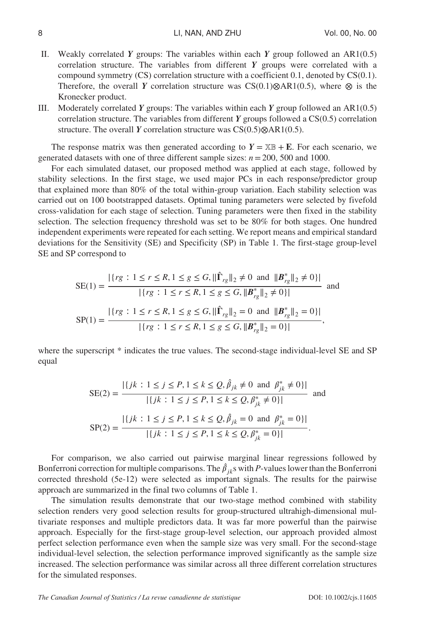- II. Weakly correlated *Y* groups: The variables within each *Y* group followed an AR1(0.5) correlation structure. The variables from different *Y* groups were correlated with a compound symmetry (CS) correlation structure with a coefficient 0.1, denoted by CS(0.1). Therefore, the overall *Y* correlation structure was CS(0.1)*⊗*AR1(0.5), where *⊗* is the Kronecker product.
- III. Moderately correlated *Y* groups: The variables within each *Y* group followed an AR1(0.5) correlation structure. The variables from different *Y* groups followed a CS(0.5) correlation structure. The overall *Y* correlation structure was CS(0.5)*⊗*AR1(0.5).

The response matrix was then generated according to  $Y = \mathbb{X} \mathbb{B} + \mathbb{E}$ . For each scenario, we generated datasets with one of three different sample sizes: *n*=200, 500 and 1000.

For each simulated dataset, our proposed method was applied at each stage, followed by stability selections. In the first stage, we used major PCs in each response/predictor group that explained more than 80% of the total within-group variation. Each stability selection was carried out on 100 bootstrapped datasets. Optimal tuning parameters were selected by fivefold cross-validation for each stage of selection. Tuning parameters were then fixed in the stability selection. The selection frequency threshold was set to be 80*%* for both stages. One hundred independent experiments were repeated for each setting. We report means and empirical standard deviations for the Sensitivity (SE) and Specificity (SP) in Table 1. The first-stage group-level SE and SP correspond to

$$
SE(1) = \frac{|\{rg: 1 \le r \le R, 1 \le g \le G, ||\hat{\Gamma}_{rg}||_2 \neq 0 \text{ and } ||B_{rg}^*||_2 \neq 0\}|}{|\{rg: 1 \le r \le R, 1 \le g \le G, ||B_{rg}^*||_2 \neq 0\}|} \text{ and}
$$
  
\n
$$
SP(1) = \frac{|\{rg: 1 \le r \le R, 1 \le g \le G, ||\hat{\Gamma}_{rg}||_2 = 0 \text{ and } ||B_{rg}^*||_2 = 0\}|}{|\{rg: 1 \le r \le R, 1 \le g \le G, ||B_{rg}^*||_2 = 0\}|},
$$

where the superscript  $*$  indicates the true values. The second-stage individual-level SE and SP equal

$$
SE(2) = \frac{|\{jk : 1 \le j \le P, 1 \le k \le Q, \hat{\beta}_{jk} \neq 0 \text{ and } \beta_{jk}^* \neq 0\}|}{|\{jk : 1 \le j \le P, 1 \le k \le Q, \beta_{jk}^* \neq 0\}|} \text{ and}
$$
  
\n
$$
SP(2) = \frac{|\{jk : 1 \le j \le P, 1 \le k \le Q, \hat{\beta}_{jk} = 0 \text{ and } \beta_{jk}^* = 0\}|}{|\{jk : 1 \le j \le P, 1 \le k \le Q, \beta_{jk}^* = 0\}|}.
$$

For comparison, we also carried out pairwise marginal linear regressions followed by Bonferroni correction for multiple comparisons. The  $\hat{\beta}_{jk}$ s with *P*-values lower than the Bonferroni corrected threshold (5e-12) were selected as important signals. The results for the pairwise approach are summarized in the final two columns of Table 1.

The simulation results demonstrate that our two-stage method combined with stability selection renders very good selection results for group-structured ultrahigh-dimensional multivariate responses and multiple predictors data. It was far more powerful than the pairwise approach. Especially for the first-stage group-level selection, our approach provided almost perfect selection performance even when the sample size was very small. For the second-stage individual-level selection, the selection performance improved significantly as the sample size increased. The selection performance was similar across all three different correlation structures for the simulated responses.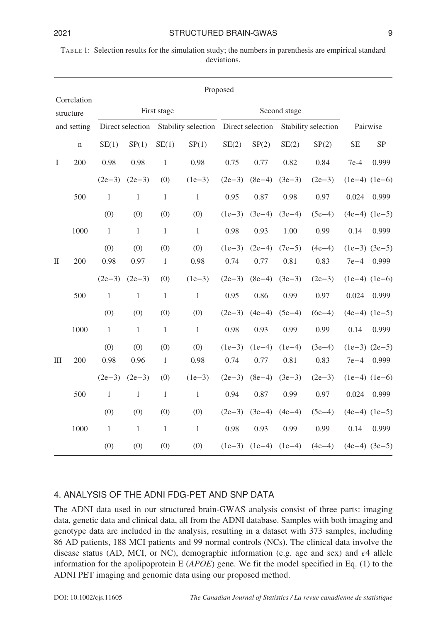| TABLE 1: Selection results for the simulation study; the numbers in parenthesis are empirical standard |
|--------------------------------------------------------------------------------------------------------|
| deviations.                                                                                            |

|              |                          |              |              |                     |                                                       | Proposed         |                  |                  |                     |                   |                            |
|--------------|--------------------------|--------------|--------------|---------------------|-------------------------------------------------------|------------------|------------------|------------------|---------------------|-------------------|----------------------------|
|              | Correlation<br>structure |              |              | First stage         |                                                       |                  |                  | Second stage     |                     |                   |                            |
|              | and setting              |              |              |                     | Direct selection Stability selection Direct selection |                  |                  |                  | Stability selection |                   | Pairwise                   |
|              | $\mathbf n$              | SE(1)        | SP(1)        | SE(1)               | SP(1)                                                 | SE(2)            | SP(2)            | SE(2)            | SP(2)               | <b>SE</b>         | <b>SP</b>                  |
| $\bf{I}$     | 200                      | 0.98         | 0.98         | $\mathbf{1}$        | 0.98                                                  | 0.75             | 0.77             | 0.82             | 0.84                | $7e-4$            | 0.999                      |
|              |                          | $(2e-3)$     | $(2e-3)$     | (0)                 | $(1e-3)$                                              | $(2e-3)$         | $(8e-4)$         | $(3e-3)$         | $(2e-3)$            | $(1e-4)$ $(1e-6)$ |                            |
|              | 500                      | $\mathbf{1}$ | $\mathbf{1}$ | $\mathbf{1}$        | $\mathbf{1}$                                          | 0.95             | 0.87             | 0.98             | 0.97                | 0.024             | 0.999                      |
|              |                          | (0)          | (0)          | (0)                 | (0)                                                   | $(1e-3)$         | $(3e-4)$         | $(3e-4)$         | $(5e-4)$            |                   | $(4e-4)$ $(1e-5)$          |
|              | 1000                     | $\mathbf{1}$ | $\mathbf{1}$ | $\mathbf{1}$        | $\mathbf{1}$                                          | 0.98             | 0.93             | 1.00             | 0.99                | 0.14              | 0.999                      |
|              |                          | (0)          | (0)          | (0)                 | (0)                                                   | $(1e-3)$         | $(2e-4)$         | $(7e-5)$         | $(4e-4)$            |                   | $(1e-3)$ $(3e-5)$          |
| $\mathbf{I}$ | 200                      | 0.98         | 0.97         | $\mathbf{1}$        | 0.98                                                  | 0.74             | 0.77             | 0.81             | 0.83                | $7e-4$            | 0.999                      |
|              |                          | $(2e-3)$     | $(2e-3)$     | (0)                 | $(1e-3)$                                              | $(2e-3)$         | $(8e-4)$         | $(3e-3)$         | $(2e-3)$            |                   | $(1e-4)$ $(1e-6)$          |
|              | 500                      | $\mathbf{1}$ | $\mathbf{1}$ | $\mathbf{1}$        | $\mathbf{1}$                                          | 0.95             | 0.86             | 0.99             | 0.97                | 0.024             | 0.999                      |
|              |                          | (0)          | (0)          | (0)                 | (0)                                                   | $(2e-3)$         | $(4e-4)$         | $(5e-4)$         | $(6e-4)$            |                   | $(4e-4)$ $(1e-5)$          |
|              | 1000                     | $\mathbf{1}$ | $\,1\,$      | $\,1\,$             | $\mathbf{1}$                                          | 0.98             | 0.93             | 0.99             | 0.99                | 0.14              | 0.999                      |
| $\rm III$    | 200                      | (0)<br>0.98  | (0)<br>0.96  | (0)<br>$\mathbf{1}$ | (0)<br>0.98                                           | $(1e-3)$<br>0.74 | $(1e-4)$<br>0.77 | $(1e-4)$<br>0.81 | $(3e-4)$<br>0.83    | $7e-4$            | $(1e-3)$ $(2e-5)$<br>0.999 |
|              |                          | $(2e-3)$     | $(2e-3)$     | (0)                 | $(1e-3)$                                              | $(2e-3)$         | $(8e-4)$         | $(3e-3)$         | $(2e-3)$            |                   | $(1e-4)$ $(1e-6)$          |
|              | 500                      | $\mathbf{1}$ | $\mathbf{1}$ | $\mathbf{1}$        | $\mathbf{1}$                                          | 0.94             | 0.87             | 0.99             | 0.97                | 0.024             | 0.999                      |
|              |                          | (0)          | (0)          | (0)                 | (0)                                                   | $(2e-3)$         | $(3e-4)$         | $(4e-4)$         | $(5e-4)$            |                   | $(4e-4)$ $(1e-5)$          |
|              | 1000                     | $\mathbf{1}$ | $\mathbf{1}$ | $\,1\,$             | $\,1$                                                 | 0.98             | 0.93             | 0.99             | 0.99                | 0.14              | 0.999                      |
|              |                          | (0)          | (0)          | (0)                 | (0)                                                   | $(1e-3)$         | $(1e-4)$         | $(1e-4)$         | $(4e-4)$            | $(4e-4)$ $(3e-5)$ |                            |

# 4. ANALYSIS OF THE ADNI FDG-PET AND SNP DATA

The ADNI data used in our structured brain-GWAS analysis consist of three parts: imaging data, genetic data and clinical data, all from the ADNI database. Samples with both imaging and genotype data are included in the analysis, resulting in a dataset with 373 samples, including 86 AD patients, 188 MCI patients and 99 normal controls (NCs). The clinical data involve the disease status (AD, MCI, or NC), demographic information (e.g. age and sex) and  $\epsilon$ 4 allele information for the apolipoprotein E (*APOE*) gene. We fit the model specified in Eq. (1) to the ADNI PET imaging and genomic data using our proposed method.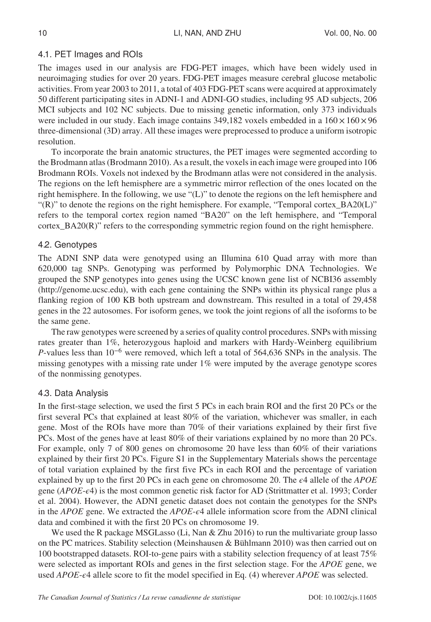# 4.1. PET Images and ROIs

The images used in our analysis are FDG-PET images, which have been widely used in neuroimaging studies for over 20 years. FDG-PET images measure cerebral glucose metabolic activities. From year 2003 to 2011, a total of 403 FDG-PET scans were acquired at approximately 50 different participating sites in ADNI-1 and ADNI-GO studies, including 95 AD subjects, 206 MCI subjects and 102 NC subjects. Due to missing genetic information, only 373 individuals were included in our study. Each image contains 349,182 voxels embedded in a  $160 \times 160 \times 96$ three-dimensional (3D) array. All these images were preprocessed to produce a uniform isotropic resolution.

To incorporate the brain anatomic structures, the PET images were segmented according to the Brodmann atlas (Brodmann 2010). As a result, the voxels in each image were grouped into 106 Brodmann ROIs. Voxels not indexed by the Brodmann atlas were not considered in the analysis. The regions on the left hemisphere are a symmetric mirror reflection of the ones located on the right hemisphere. In the following, we use "(L)" to denote the regions on the left hemisphere and "(R)" to denote the regions on the right hemisphere. For example, "Temporal cortex\_BA20(L)" refers to the temporal cortex region named "BA20" on the left hemisphere, and "Temporal cortex\_BA20(R)" refers to the corresponding symmetric region found on the right hemisphere.

# 4.2. Genotypes

The ADNI SNP data were genotyped using an Illumina 610 Quad array with more than 620,000 tag SNPs. Genotyping was performed by Polymorphic DNA Technologies. We grouped the SNP genotypes into genes using the UCSC known gene list of NCBI36 assembly (http://genome.ucsc.edu), with each gene containing the SNPs within its physical range plus a flanking region of 100 KB both upstream and downstream. This resulted in a total of 29,458 genes in the 22 autosomes. For isoform genes, we took the joint regions of all the isoforms to be the same gene.

The raw genotypes were screened by a series of quality control procedures. SNPs with missing rates greater than 1*%*, heterozygous haploid and markers with Hardy-Weinberg equilibrium *P*-values less than 10<sup>−6</sup> were removed, which left a total of 564,636 SNPs in the analysis. The missing genotypes with a missing rate under 1*%* were imputed by the average genotype scores of the nonmissing genotypes.

# 4.3. Data Analysis

In the first-stage selection, we used the first 5 PCs in each brain ROI and the first 20 PCs or the first several PCs that explained at least 80*%* of the variation, whichever was smaller, in each gene. Most of the ROIs have more than 70*%* of their variations explained by their first five PCs. Most of the genes have at least 80*%* of their variations explained by no more than 20 PCs. For example, only 7 of 800 genes on chromosome 20 have less than 60*%* of their variations explained by their first 20 PCs. Figure S1 in the Supplementary Materials shows the percentage of total variation explained by the first five PCs in each ROI and the percentage of variation explained by up to the first 20 PCs in each gene on chromosome 20. The  $\epsilon$ 4 allele of the *APOE* gene (*APOE*-4) is the most common genetic risk factor for AD (Strittmatter et al. 1993; Corder et al. 2004). However, the ADNI genetic dataset does not contain the genotypes for the SNPs in the *APOE* gene. We extracted the *APOE*- $\epsilon$ 4 allele information score from the ADNI clinical data and combined it with the first 20 PCs on chromosome 19.

We used the R package MSGLasso (Li, Nan & Zhu 2016) to run the multivariate group lasso on the PC matrices. Stability selection (Meinshausen & Bühlmann 2010) was then carried out on 100 bootstrapped datasets. ROI-to-gene pairs with a stability selection frequency of at least 75*%* were selected as important ROIs and genes in the first selection stage. For the *APOE* gene, we used *APOE*- $\epsilon$ 4 allele score to fit the model specified in Eq. (4) wherever *APOE* was selected.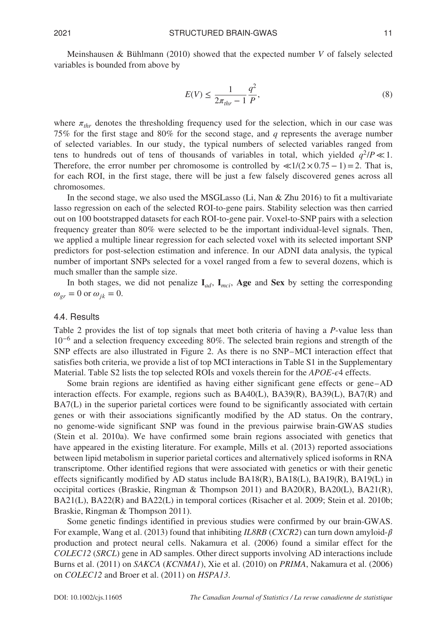Meinshausen & Bühlmann (2010) showed that the expected number *V* of falsely selected variables is bounded from above by

$$
E(V) \le \frac{1}{2\pi_{thr} - 1} \frac{q^2}{P},\tag{8}
$$

where  $\pi_{thr}$  denotes the thresholding frequency used for the selection, which in our case was 75*%* for the first stage and 80*%* for the second stage, and *q* represents the average number of selected variables. In our study, the typical numbers of selected variables ranged from tens to hundreds out of tens of thousands of variables in total, which yielded  $q^2/P \ll 1$ . Therefore, the error number per chromosome is controlled by  $\ll 1/(2 \times 0.75 - 1) = 2$ . That is, for each ROI, in the first stage, there will be just a few falsely discovered genes across all chromosomes.

In the second stage, we also used the MSGLasso (Li, Nan & Zhu 2016) to fit a multivariate lasso regression on each of the selected ROI-to-gene pairs. Stability selection was then carried out on 100 bootstrapped datasets for each ROI-to-gene pair. Voxel-to-SNP pairs with a selection frequency greater than 80*%* were selected to be the important individual-level signals. Then, we applied a multiple linear regression for each selected voxel with its selected important SNP predictors for post-selection estimation and inference. In our ADNI data analysis, the typical number of important SNPs selected for a voxel ranged from a few to several dozens, which is much smaller than the sample size.

In both stages, we did not penalize  $I_{ad}$ ,  $I_{mci}$ , Age and Sex by setting the corresponding  $\omega_{er} = 0$  or  $\omega_{ik} = 0$ .

#### 4.4. Results

Table 2 provides the list of top signals that meet both criteria of having a *P*-value less than 10−<sup>6</sup> and a selection frequency exceeding 80*%*. The selected brain regions and strength of the SNP effects are also illustrated in Figure 2. As there is no SNP–MCI interaction effect that satisfies both criteria, we provide a list of top MCI interactions in Table S1 in the Supplementary Material. Table S2 lists the top selected ROIs and voxels therein for the *APOE-e4* effects.

Some brain regions are identified as having either significant gene effects or gene–AD interaction effects. For example, regions such as BA40(L), BA39(R), BA39(L), BA7(R) and BA7(L) in the superior parietal cortices were found to be significantly associated with certain genes or with their associations significantly modified by the AD status. On the contrary, no genome-wide significant SNP was found in the previous pairwise brain-GWAS studies (Stein et al. 2010a). We have confirmed some brain regions associated with genetics that have appeared in the existing literature. For example, Mills et al. (2013) reported associations between lipid metabolism in superior parietal cortices and alternatively spliced isoforms in RNA transcriptome. Other identified regions that were associated with genetics or with their genetic effects significantly modified by AD status include  $BA18(R)$ ,  $BA18(L)$ ,  $BA19(R)$ ,  $BA19(L)$  in occipital cortices (Braskie, Ringman & Thompson 2011) and BA20(R), BA20(L), BA21(R), BA21(L), BA22(R) and BA22(L) in temporal cortices (Risacher et al. 2009; Stein et al. 2010b; Braskie, Ringman & Thompson 2011).

Some genetic findings identified in previous studies were confirmed by our brain-GWAS. For example, Wang et al. (2013) found that inhibiting *IL8RB* (*CXCR2*) can turn down amyloid- $\beta$ production and protect neural cells. Nakamura et al. (2006) found a similar effect for the *COLEC12* (*SRCL*) gene in AD samples. Other direct supports involving AD interactions include Burns et al. (2011) on *SAKCA* (*KCNMA1*), Xie et al. (2010) on *PRIMA*, Nakamura et al. (2006) on *COLEC12* and Broer et al. (2011) on *HSPA13*.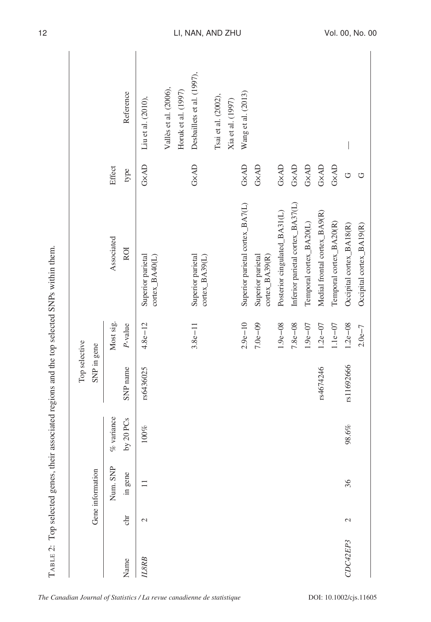|          |               |                  |               | Top selective |             |                                     |                                                 |                            |
|----------|---------------|------------------|---------------|---------------|-------------|-------------------------------------|-------------------------------------------------|----------------------------|
|          |               | Gene information |               | SNP in gene   |             |                                     |                                                 |                            |
|          |               | Num. SNP         | $\%$ variance |               | Most sig.   | Associated                          | Effect                                          |                            |
| Name     | chr           | in gene          | by $20$ PCs   | SNP name      | P-value     | <b>ROI</b>                          | type                                            | Reference                  |
| ILSRB    | $\mathcal{L}$ |                  | $100\%$       | rs6436025     | $4.8e - 12$ | Superior parietal<br>cortex_BA40(L) | GXAD                                            | Liu et al. (2010),         |
|          |               |                  |               |               |             |                                     |                                                 | Vallès et al. (2006),      |
|          |               |                  |               |               |             |                                     |                                                 | Horuk et al. (1997)        |
|          |               |                  |               |               | $3.8e - 11$ | Superior parietal<br>cortex_BA39(L) | GXAD                                            | Desbaillets et al. (1997), |
|          |               |                  |               |               |             |                                     |                                                 | Tsai et al. (2002),        |
|          |               |                  |               |               |             |                                     |                                                 | Xia et al. (1997)          |
|          |               |                  |               |               | $2.9e - 10$ | Superior parietal cortex_BA7(L)     | $\mathbf{G}\times\mathbf{A}\mathbf{D}$          | Wang et al. (2013)         |
|          |               |                  |               |               | $7.0e - 09$ | Superior parietal<br>cortex_BA39(R) | GXAD                                            |                            |
|          |               |                  |               |               | $1.9e - 08$ | Posterior cingulated_BA31(L)        | GXAD                                            |                            |
|          |               |                  |               |               | $7.8e - 08$ | Inferior parietal cortex_BA37(L)    | $\mathbf{G}\mathbf{\times}\mathbf{A}\mathbf{D}$ |                            |
|          |               |                  |               |               | $1.9e - 07$ | Temporal cortex_BA20(L)             | $\mathbf{G}\mathbf{x}\mathbf{A}\mathbf{D}$      |                            |
|          |               |                  |               | rs4674246     | $1.2e - 07$ | Medial frontal cortex_BA9(R)        | GXAD                                            |                            |
|          |               |                  |               |               | $1.1e-07$   | Temporal cortex_BA20(R)             | GXAD                                            |                            |
| CDC42EP3 | 2             | 36               | 98.6%         | rs11692666    | $1.2e - 08$ | Occipital cortex_BA18(R)            | U                                               |                            |
|          |               |                  |               |               | $2.0e - 7$  | Occipital cortex_BA19(R)            | ロ                                               |                            |

TABLE 2: Top selected genes, their associated regions and the top selected SNPs within them. TABLE 2: Top selected genes, their associated regions and the top selected SNPs within them.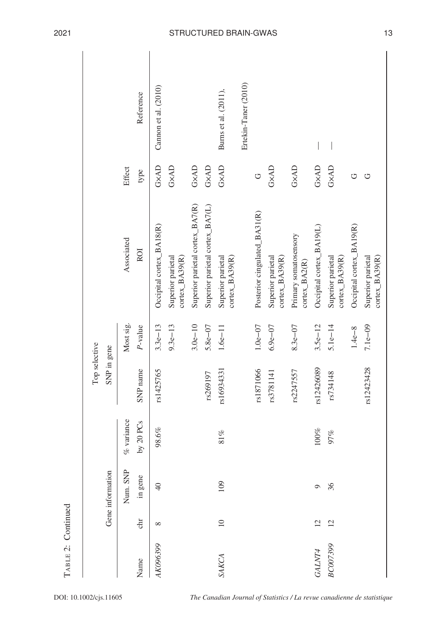|          |                 |                  |                     | Top selective |             |                                        |        |                      |
|----------|-----------------|------------------|---------------------|---------------|-------------|----------------------------------------|--------|----------------------|
|          |                 | Gene information |                     | SNP in gene   |             |                                        |        |                      |
|          |                 | Num. SNP         | variance<br>ok.     |               | Most sig.   | Associated                             | Effect |                      |
| Name     | chr             | in gene          | 20 PCs<br>$\gtrsim$ | SNP name      | P-value     | <b>ROI</b>                             | type   | Reference            |
| AK096399 | ${}^{\circ}$    | $\sqrt{4}$       | 98.6%               | rs1425765     | $3.3e - 13$ | Occipital cortex_BA18(R)               | GXAD   | Cannon et al. (2010) |
|          |                 |                  |                     |               | $9.3e - 13$ | Superior parietal<br>cortex_BA39(R)    | GXAD   |                      |
|          |                 |                  |                     |               | $3.0e - 10$ | Superior parietal cortex_BA7(R)        | GXAD   |                      |
|          |                 |                  |                     | rs269197      | $5.8e - 07$ | Superior parietal cortex_BA7(L)        | GXAD   |                      |
| SAKCA    | $\overline{10}$ | 109              | $81\%$              | rs16934331    | $1.6e - 11$ | Superior parietal<br>cortex_BA39(R)    | GXAD   | Burns et al. (2011), |
|          |                 |                  |                     |               |             |                                        |        | Ertekin-Taner (2010) |
|          |                 |                  |                     | rs1871066     | $1.0e - 07$ | Posterior cingulated_BA31(R)           | U      |                      |
|          |                 |                  |                     | rs3781141     | $6.9e - 07$ | Superior parietal<br>cortex_BA39(R)    | GXAD   |                      |
|          |                 |                  |                     | rs2247557     | $8.3e - 07$ | Primary somatosensory<br>cortex_BA2(R) | GXAD   |                      |
| GALNT4   | $\overline{c}$  | $\circ$          | $100\%$             | rs12426089    | $3.5e-12$   | Occipital cortex_BA19(L)               | GXAD   |                      |
| BC007399 | $\overline{c}$  | 36               | 97%                 | rs734148      | $5.1e-14$   | Superior parietal<br>cortex_BA39(R)    | GXAD   | $\bigg $             |
|          |                 |                  |                     |               | $1.4e - 8$  | Occipital cortex_BA19(R)               | U      |                      |
|          |                 |                  |                     | rs12423428    | $7.1e-09$   | Superior parietal<br>cortex_BA39(R)    | U      |                      |

TABLE 2: Continued

TABLE 2: Continued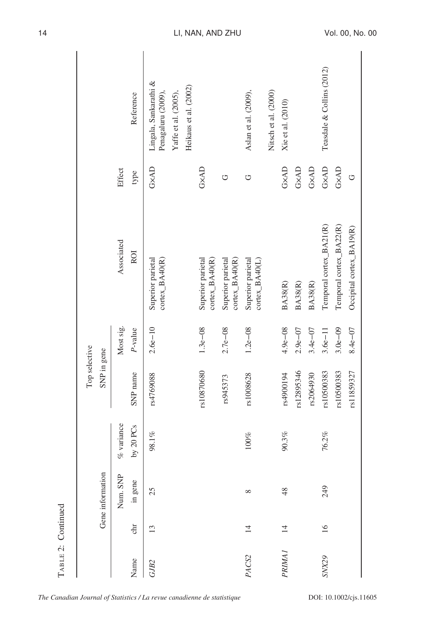|                   |                 |                  |               | Top selective |             |                                               |        |                                                                     |
|-------------------|-----------------|------------------|---------------|---------------|-------------|-----------------------------------------------|--------|---------------------------------------------------------------------|
|                   |                 | Gene information |               | SNP in gene   |             |                                               |        |                                                                     |
|                   |                 | Num. SNP         | $\%$ variance |               | Most sig.   | Associated                                    | Effect |                                                                     |
| Name              | chr             | in gene          | by $20$ PCs   | SNP name      | $P$ -value  | <b>ROI</b>                                    | type   | Reference                                                           |
| GJB <sub>2</sub>  | 13              | 25               | 98.1%         | rs4769088     | $2.6e - 10$ | Superior parietal<br>cortex_BA40(R)           | GXAD   | Lingala, Sankarathi &<br>Penagaluru (2009),<br>Yaffe et al. (2005), |
|                   |                 |                  |               |               |             |                                               |        | Heikaus et al. (2002)                                               |
|                   |                 |                  |               | rs10870680    | $1.3e - 08$ | Superior parietal<br>cortex_BA40(R)           | GxAD   |                                                                     |
|                   |                 |                  |               | rs945373      | $2.7e - 08$ | Superior parietal<br>$\text{cortex}\_BA40(R)$ | U      |                                                                     |
| PACS <sub>2</sub> | $\overline{4}$  | ${}^{\circ}$     | $100\%$       | rs1008628     | $1.2e - 08$ | Superior parietal<br>$\text{cortex}\_BA40(L)$ | U      | Aslan et al. (2009),                                                |
|                   |                 |                  |               |               |             |                                               |        | Nitsch et al. (2000)                                                |
| <b>PRIMA1</b>     | $\overline{4}$  | 48               | 90.3%         | rs4900194     | $4.9e - 08$ | <b>BA38(R)</b>                                | GXAD   | Xie et al. (2010)                                                   |
|                   |                 |                  |               | rs12895346    | $2.9e - 07$ | <b>BA38(R)</b>                                | GXAD   |                                                                     |
|                   |                 |                  |               | rs2064930     | $3.4e - 07$ | <b>BA38(R)</b>                                | GXAD   |                                                                     |
| SNX29             | $\overline{16}$ | 249              | 76.2%         | rs10500383    | $3.6e - 11$ | Temporal cortex_BA21(R)                       | GXAD   | Teasdale & Collins (2012)                                           |
|                   |                 |                  |               | rs10500383    | $3.0e - 09$ | Temporal cortex_BA22(R)                       | GXAD   |                                                                     |
|                   |                 |                  |               | rs11859327    | $8.4e - 07$ | Occipital cortex_BA19(R)                      | Ò      |                                                                     |
|                   |                 |                  |               |               |             |                                               |        |                                                                     |

TABLE 2: Continued

TABLE 2: Continued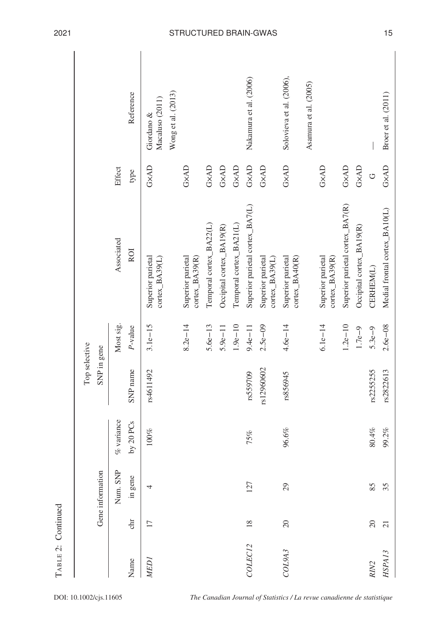|                     |                 |                  |               | Top selective |             |                                       |                                                 |                                                     |
|---------------------|-----------------|------------------|---------------|---------------|-------------|---------------------------------------|-------------------------------------------------|-----------------------------------------------------|
|                     |                 | Gene information |               | SNP in gene   |             |                                       |                                                 |                                                     |
|                     |                 | Num. SNP         | $\%$ variance |               | Most sig.   | Associated                            | Effect                                          |                                                     |
| Name                | chr             | in gene          | by 20 PCs     | SNP name      | P-value     | <b>ROI</b>                            | type                                            | Reference                                           |
| <b>MED</b> I        | 17              | 4                | $100\%$       | rs4611492     | $3.1e-15$   | Superior parietal<br>$cortex_BA39(L)$ | GXAD                                            | Wong et al. (2013)<br>Macaluso (2011)<br>Giordano & |
|                     |                 |                  |               |               | $8.2e - 14$ | Superior parietal<br>$cortex_BA39(R)$ | GXAD                                            |                                                     |
|                     |                 |                  |               |               | $5.6e - 13$ | Temporal cortex_BA22(L)               | $\mathbf{G}\times\mathbf{A}\mathbf{D}$          |                                                     |
|                     |                 |                  |               |               | $5.9e - 11$ | Occipital cortex_BA19(R)              | $\mathbf{G}\mathbf{x}\mathbf{A}\mathbf{D}$      |                                                     |
|                     |                 |                  |               |               | $1.9e - 10$ | Temporal cortex_BA21(L)               | $\mathbf{G}\mathbf{\times}\mathbf{A}\mathbf{D}$ |                                                     |
| COLEC <sub>12</sub> | $\frac{8}{18}$  | 127              | 75%           | rs559709      | $9.4e - 11$ | Superior parietal cortex_BA7(L)       | GXAD                                            | Nakamura et al. (2006)                              |
|                     |                 |                  |               | rs12960602    | $2.5e - 09$ | Superior parietal<br>$cortex_BA39(L)$ | GXAD                                            |                                                     |
| COL9A3              | 20              | $29$             | 96.6%         | rs856945      | $4.6e - 14$ | Superior parietal<br>cortex_BA40(R)   | GXAD                                            | Solovieva et al. (2006),                            |
|                     |                 |                  |               |               |             |                                       |                                                 | Asamura et al. (2005)                               |
|                     |                 |                  |               |               | $6.1e-14$   | Superior parietal<br>$cortex_BA39(R)$ | GXAD                                            |                                                     |
|                     |                 |                  |               |               | $1.2e - 10$ | Superior parietal cortex_BA7(R)       | $\mathbf{G}\times\mathbf{A}\mathbf{D}$          |                                                     |
|                     |                 |                  |               |               | $1.7e - 9$  | Occipital cortex_BA19(R)              | GXAD                                            |                                                     |
| RIN <sub>2</sub>    | $\overline{20}$ | 85               | $80.4\%$      | rs2255255     | $5.3e - 9$  | CERHEM(L)                             | $\circ$                                         |                                                     |
| HSPA13              | $\overline{c}$  | 35               | 99.2%         | rs2822613     | $2.6e - 08$ | Medial frontal cortex_BA10(L)         | GXAD                                            | Broer et al. (2011)                                 |

TABLE 2: Continued

TABLE 2: Continued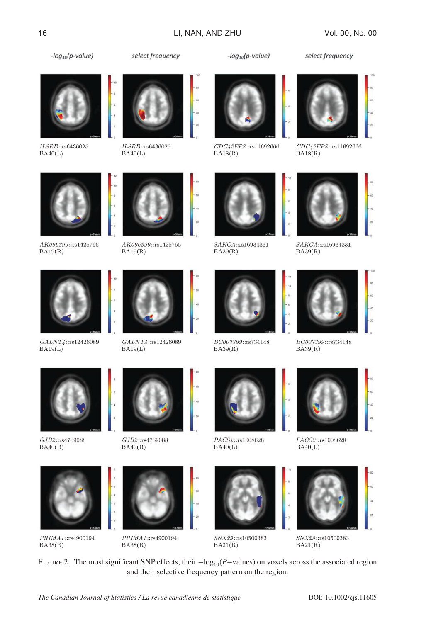$-log_{10}(p-value)$ 



IL8RB::rs6436025  $BA40(L)$ 

AK096399::rs1425765

 $GALNT4::rs12426089$ 

 $BA19(L)$ 

 $BA19(R)$ 



IL8RB::rs6436025  $BA40(L)$ 



select frequency





 $-log_{10}(p-value)$ 

 $CDC42EP3::rs11692666$  $BA18(R)$ 



select frequency

 $CDC42EP3::rs11692666$  $BA18(R)$ 



 $SAKCA::rs16934331$  $BA39(R)$ 





 $BA39(R)$ 



 $BA40(L)$ 



 $\it SNX29::rs10500383$  $BA21(R)$ 









 $PACS 2::r s1008628$ 



FIGURE 2: The most significant SNP effects, their  $-\log_{10}(P-\text{values})$  on voxels across the associated region and their selective frequency pattern on the region.

 $PACS 2::r s1008628$  $BA40(L)$ 



 $\it SNX29::rs10500383$  $BA21(R)$ 







 $PRIMA1::\text{rs}4900194$  $BA38(R)$ 



 $PRIMA\,1::\rm rs4900194$  $BA38(R)$ 



AK096399::rs1425765

 $BA19(R)$ 

 $GALNT4::rs12426089$  $BA19(L)$ 







 $BA39(R)$ 

 $BC007399\mathrm{::rs}734148$  $BA39(R)$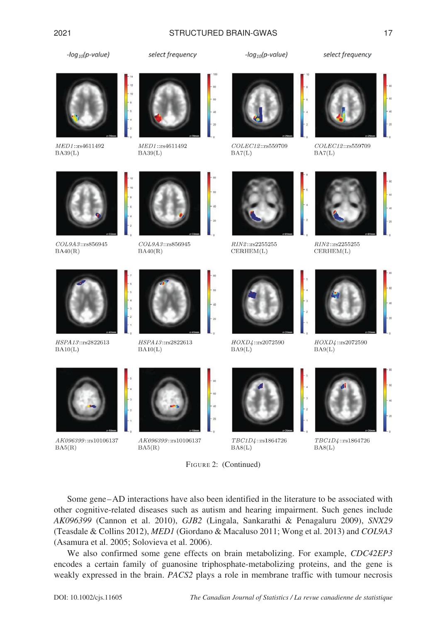#### 2021 STRUCTURED BRAIN-GWAS 17

 $-log_{10}(p-value)$ 



MED1::rs4611492  $BA39(L)$ 



MED1::rs4611492  $BA39(L)$ 

select frequency

 $-log_{10}(p-value)$ 





COLEC12::rs559709  $BA7(L)$ 



COLEC12::rs559709



 $COL9A3::rs856945$  $BA40(R)$ 



 $COL9A3::$ rs856945  $BA40(R)$ 



 $RIN2::rs2255255$  $CERHEM(L)$ 



 $\mathcal{RIN2}\text{:}:\text{rs}2255255$  $CERHEM(L)$ 



HSPA13::rs2822613  $BA10(L)$ 

AK096399::rs10106137

 $BA5(R)$ 



HSPA13::rs2822613  $BA10(L)$ 



AK096399::rs10106137  $BA5(R)$ 



HOXD4::rs2072590

 $BA9(L)$ 

TBC1D4::rs1864726  $BAS(L)$ 



HOXD4::rs2072590  $BA9(L)$ 



TBC1D4::rs1864726  $BAS(L)$ 

Some gene–AD interactions have also been identified in the literature to be associated with other cognitive-related diseases such as autism and hearing impairment. Such genes include *AK096399* (Cannon et al. 2010), *GJB2* (Lingala, Sankarathi & Penagaluru 2009), *SNX29* (Teasdale & Collins 2012), *MED1* (Giordano & Macaluso 2011; Wong et al. 2013) and *COL9A3* (Asamura et al. 2005; Solovieva et al. 2006).

FIGURE 2: (Continued)

We also confirmed some gene effects on brain metabolizing. For example, *CDC42EP3* encodes a certain family of guanosine triphosphate-metabolizing proteins, and the gene is weakly expressed in the brain. *PACS2* plays a role in membrane traffic with tumour necrosis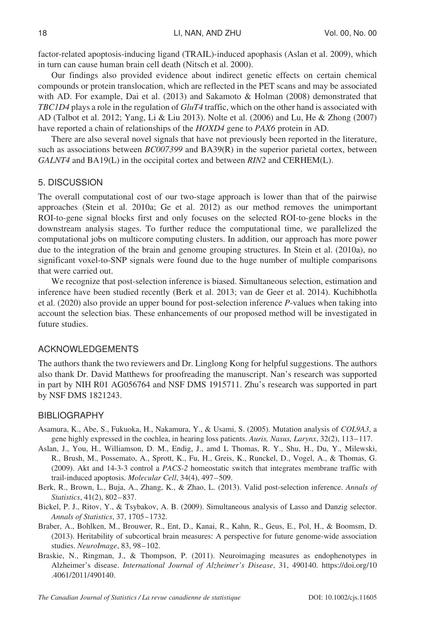factor-related apoptosis-inducing ligand (TRAIL)-induced apophasis (Aslan et al. 2009), which in turn can cause human brain cell death (Nitsch et al. 2000).

Our findings also provided evidence about indirect genetic effects on certain chemical compounds or protein translocation, which are reflected in the PET scans and may be associated with AD. For example, Dai et al. (2013) and Sakamoto & Holman (2008) demonstrated that *TBC1D4* plays a role in the regulation of *GluT4* traffic, which on the other hand is associated with AD (Talbot et al. 2012; Yang, Li & Liu 2013). Nolte et al. (2006) and Lu, He & Zhong (2007) have reported a chain of relationships of the *HOXD4* gene to *PAX6* protein in AD.

There are also several novel signals that have not previously been reported in the literature, such as associations between *BC007399* and BA39(R) in the superior parietal cortex, between *GALNT4* and BA19(L) in the occipital cortex and between *RIN2* and CERHEM(L).

# 5. DISCUSSION

The overall computational cost of our two-stage approach is lower than that of the pairwise approaches (Stein et al. 2010a; Ge et al. 2012) as our method removes the unimportant ROI-to-gene signal blocks first and only focuses on the selected ROI-to-gene blocks in the downstream analysis stages. To further reduce the computational time, we parallelized the computational jobs on multicore computing clusters. In addition, our approach has more power due to the integration of the brain and genome grouping structures. In Stein et al. (2010a), no significant voxel-to-SNP signals were found due to the huge number of multiple comparisons that were carried out.

We recognize that post-selection inference is biased. Simultaneous selection, estimation and inference have been studied recently (Berk et al. 2013; van de Geer et al. 2014). Kuchibhotla et al. (2020) also provide an upper bound for post-selection inference *P*-values when taking into account the selection bias. These enhancements of our proposed method will be investigated in future studies.

# ACKNOWLEDGEMENTS

The authors thank the two reviewers and Dr. Linglong Kong for helpful suggestions. The authors also thank Dr. David Matthews for proofreading the manuscript. Nan's research was supported in part by NIH R01 AG056764 and NSF DMS 1915711. Zhu's research was supported in part by NSF DMS 1821243.

# **BIBLIOGRAPHY**

- Asamura, K., Abe, S., Fukuoka, H., Nakamura, Y., & Usami, S. (2005). Mutation analysis of *COL9A3*, a gene highly expressed in the cochlea, in hearing loss patients. *Auris, Nasus, Larynx*, 32(2), 113–117.
- Aslan, J., You, H., Williamson, D. M., Endig, J., amd L Thomas, R. Y., Shu, H., Du, Y., Milewski, R., Brush, M., Possemato, A., Sprott, K., Fu, H., Greis, K., Runckel, D., Vogel, A., & Thomas, G. (2009). Akt and 14-3-3 control a *PACS-2* homeostatic switch that integrates membrane traffic with trail-induced apoptosis. *Molecular Cell*, 34(4), 497–509.
- Berk, R., Brown, L., Buja, A., Zhang, K., & Zhao, L. (2013). Valid post-selection inference. *Annals of Statistics*, 41(2), 802–837.
- Bickel, P. J., Ritov, Y., & Tsybakov, A. B. (2009). Simultaneous analysis of Lasso and Danzig selector. *Annals of Statistics*, 37, 1705–1732.
- Braber, A., Bohlken, M., Brouwer, R., Ent, D., Kanai, R., Kahn, R., Geus, E., Pol, H., & Boomsm, D. (2013). Heritability of subcortical brain measures: A perspective for future genome-wide association studies. *NeuroImage*, 83, 98–102.
- Braskie, N., Ringman, J., & Thompson, P. (2011). Neuroimaging measures as endophenotypes in Alzheimer's disease. *International Journal of Alzheimer's Disease*, 31, 490140. [https://doi.org/10](https://doi.org/10.4061/2011/490140) [.4061/2011/490140.](https://doi.org/10.4061/2011/490140)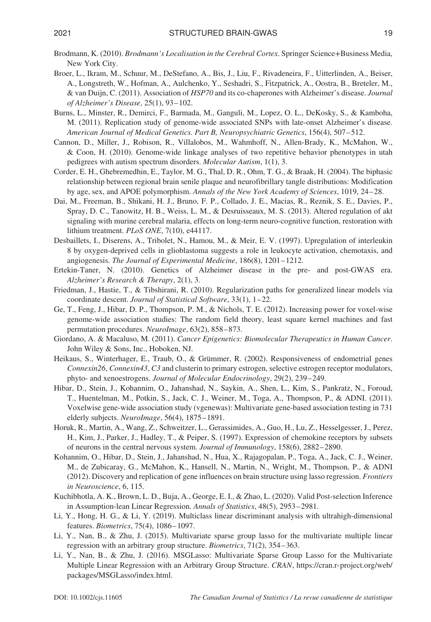- Brodmann, K. (2010). *Brodmann's Localisation in the Cerebral Cortex*. Springer Science+Business Media, New York City.
- Broer, L., Ikram, M., Schuur, M., DeStefano, A., Bis, J., Liu, F., Rivadeneira, F., Uitterlinden, A., Beiser, A., Longstreth, W., Hofman, A., Aulchenko, Y., Seshadri, S., Fitzpatrick, A., Oostra, B., Breteler, M., & van Duijn, C. (2011). Association of *HSP70* and its co-chaperones with Alzheimer's disease. *Journal of Alzheimer's Disease*, 25(1), 93–102.
- Burns, L., Minster, R., Demirci, F., Barmada, M., Ganguli, M., Lopez, O. L., DeKosky, S., & Kamboha, M. (2011). Replication study of genome-wide associated SNPs with late-onset Alzheimer's disease. *American Journal of Medical Genetics. Part B, Neuropsychiatric Genetics*, 156(4), 507–512.
- Cannon, D., Miller, J., Robison, R., Villalobos, M., Wahmhoff, N., Allen-Brady, K., McMahon, W., & Coon, H. (2010). Genome-wide linkage analyses of two repetitive behavior phenotypes in utah pedigrees with autism spectrum disorders. *Molecular Autism*, 1(1), 3.
- Corder, E. H., Ghebremedhin, E., Taylor, M. G., Thal, D. R., Ohm, T. G., & Braak, H. (2004). The biphasic relationship between regional brain senile plaque and neurofibrillary tangle distributions: Modification by age, sex, and APOE polymorphism. *Annals of the New York Academy of Sciences*, 1019, 24–28.
- Dai, M., Freeman, B., Shikani, H. J., Bruno, F. P., Collado, J. E., Macias, R., Reznik, S. E., Davies, P., Spray, D. C., Tanowitz, H. B., Weiss, L. M., & Desruisseaux, M. S. (2013). Altered regulation of akt signaling with murine cerebral malaria, effects on long-term neuro-cognitive function, restoration with lithium treatment. *PLoS ONE*, 7(10), e44117.
- Desbaillets, I., Diserens, A., Tribolet, N., Hamou, M., & Meir, E. V. (1997). Upregulation of interleukin 8 by oxygen-deprived cells in glioblastoma suggests a role in leukocyte activation, chemotaxis, and angiogenesis. *The Journal of Experimental Medicine*, 186(8), 1201–1212.
- Ertekin-Taner, N. (2010). Genetics of Alzheimer disease in the pre- and post-GWAS era. *Alzheimer's Research & Therapy*, 2(1), 3.
- Friedman, J., Hastie, T., & Tibshirani, R. (2010). Regularization paths for generalized linear models via coordinate descent. *Journal of Statistical Software*, 33(1), 1–22.
- Ge, T., Feng, J., Hibar, D. P., Thompson, P. M., & Nichols, T. E. (2012). Increasing power for voxel-wise genome-wide association studies: The random field theory, least square kernel machines and fast permutation procedures. *NeuroImage*, 63(2), 858–873.
- Giordano, A. & Macaluso, M. (2011). *Cancer Epigenetics: Biomolecular Therapeutics in Human Cancer*. John Wiley & Sons, Inc., Hoboken, NJ.
- Heikaus, S., Winterhager, E., Traub, O., & Grümmer, R. (2002). Responsiveness of endometrial genes *Connexin26*, *Connexin43*, *C3* and clusterin to primary estrogen, selective estrogen receptor modulators, phyto- and xenoestrogens. *Journal of Molecular Endocrinology*, 29(2), 239–249.
- Hibar, D., Stein, J., Kohannim, O., Jahanshad, N., Saykin, A., Shen, L., Kim, S., Pankratz, N., Foroud, T., Huentelman, M., Potkin, S., Jack, C. J., Weiner, M., Toga, A., Thompson, P., & ADNI. (2011). Voxelwise gene-wide association study (vgenewas): Multivariate gene-based association testing in 731 elderly subjects. *NeuroImage*, 56(4), 1875–1891.
- Horuk, R., Martin, A., Wang, Z., Schweitzer, L., Gerassimides, A., Guo, H., Lu, Z., Hesselgesser, J., Perez, H., Kim, J., Parker, J., Hadley, T., & Peiper, S. (1997). Expression of chemokine receptors by subsets of neurons in the central nervous system. *Journal of Immunology*, 158(6), 2882–2890.
- Kohannim, O., Hibar, D., Stein, J., Jahanshad, N., Hua, X., Rajagopalan, P., Toga, A., Jack, C. J., Weiner, M., de Zubicaray, G., McMahon, K., Hansell, N., Martin, N., Wright, M., Thompson, P., & ADNI (2012). Discovery and replication of gene influences on brain structure using lasso regression. *Frontiers in Neuroscience*, 6, 115.
- Kuchibhotla, A. K., Brown, L. D., Buja, A., George, E. I., & Zhao, L. (2020). Valid Post-selection Inference in Assumption-lean Linear Regression. *Annals of Statistics*, 48(5), 2953–2981.
- Li, Y., Hong, H. G., & Li, Y. (2019). Multiclass linear discriminant analysis with ultrahigh-dimensional features. *Biometrics*, 75(4), 1086–1097.
- Li, Y., Nan, B., & Zhu, J. (2015). Multivariate sparse group lasso for the multivariate multiple linear regression with an arbitrary group structure. *Biometrics*, 71(2), 354–363.
- Li, Y., Nan, B., & Zhu, J. (2016). MSGLasso: Multivariate Sparse Group Lasso for the Multivariate Multiple Linear Regression with an Arbitrary Group Structure. *CRAN*, [https://cran.r-project.org/web/](https://cran.r-project.org/web/packages/MSGLasso/index.html) [packages/MSGLasso/index.html.](https://cran.r-project.org/web/packages/MSGLasso/index.html)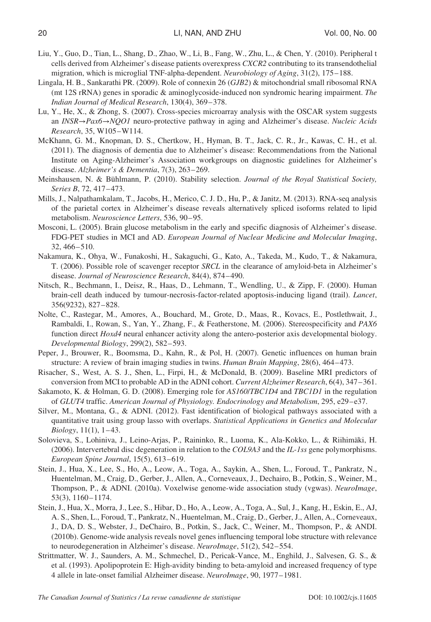- Liu, Y., Guo, D., Tian, L., Shang, D., Zhao, W., Li, B., Fang, W., Zhu, L., & Chen, Y. (2010). Peripheral t cells derived from Alzheimer's disease patients overexpress *CXCR2* contributing to its transendothelial migration, which is microglial TNF-alpha-dependent. *Neurobiology of Aging*, 31(2), 175–188.
- Lingala, H. B., Sankarathi PR. (2009). Role of connexin 26 (*GJB2*) & mitochondrial small ribosomal RNA (mt 12S rRNA) genes in sporadic & aminoglycoside-induced non syndromic hearing impairment. *The Indian Journal of Medical Research*, 130(4), 369–378.
- Lu, Y., He, X., & Zhong, S. (2007). Cross-species microarray analysis with the OSCAR system suggests an *INSR*→*Pax6*→*NQO1* neuro-protective pathway in aging and Alzheimer's disease. *Nucleic Acids Research*, 35, W105–W114.
- McKhann, G. M., Knopman, D. S., Chertkow, H., Hyman, B. T., Jack, C. R., Jr., Kawas, C. H., et al. (2011). The diagnosis of dementia due to Alzheimer's disease: Recommendations from the National Institute on Aging-Alzheimer's Association workgroups on diagnostic guidelines for Alzheimer's disease. *Alzheimer's & Dementia*, 7(3), 263–269.
- Meinshausen, N. & Bühlmann, P. (2010). Stability selection. *Journal of the Royal Statistical Society, Series B*, 72, 417–473.
- Mills, J., Nalpathamkalam, T., Jacobs, H., Merico, C. J. D., Hu, P., & Janitz, M. (2013). RNA-seq analysis of the parietal cortex in Alzheimer's disease reveals alternatively spliced isoforms related to lipid metabolism. *Neuroscience Letters*, 536, 90–95.
- Mosconi, L. (2005). Brain glucose metabolism in the early and specific diagnosis of Alzheimer's disease. FDG-PET studies in MCI and AD. *European Journal of Nuclear Medicine and Molecular Imaging*, 32, 466–510.
- Nakamura, K., Ohya, W., Funakoshi, H., Sakaguchi, G., Kato, A., Takeda, M., Kudo, T., & Nakamura, T. (2006). Possible role of scavenger receptor *SRCL* in the clearance of amyloid-beta in Alzheimer's disease. *Journal of Neuroscience Research*, 84(4), 874–490.
- Nitsch, R., Bechmann, I., Deisz, R., Haas, D., Lehmann, T., Wendling, U., & Zipp, F. (2000). Human brain-cell death induced by tumour-necrosis-factor-related apoptosis-inducing ligand (trail). *Lancet*, 356(9232), 827–828.
- Nolte, C., Rastegar, M., Amores, A., Bouchard, M., Grote, D., Maas, R., Kovacs, E., Postlethwait, J., Rambaldi, I., Rowan, S., Yan, Y., Zhang, F., & Featherstone, M. (2006). Stereospecificity and *PAX6* function direct *Hoxd4* neural enhancer activity along the antero-posterior axis developmental biology. *Developmental Biology*, 299(2), 582–593.
- Peper, J., Brouwer, R., Boomsma, D., Kahn, R., & Pol, H. (2007). Genetic influences on human brain structure: A review of brain imaging studies in twins. *Human Brain Mapping*, 28(6), 464–473.
- Risacher, S., West, A. S. J., Shen, L., Firpi, H., & McDonald, B. (2009). Baseline MRI predictors of conversion from MCI to probable AD in the ADNI cohort. *Current Alzheimer Research*, 6(4), 347–361.
- Sakamoto, K. & Holman, G. D. (2008). Emerging role for *AS160*/*TBC1D4* and *TBC1D1* in the regulation of *GLUT4* traffic. *American Journal of Physiology. Endocrinology and Metabolism*, 295, e29–e37.
- Silver, M., Montana, G., & ADNI. (2012). Fast identification of biological pathways associated with a quantitative trait using group lasso with overlaps. *Statistical Applications in Genetics and Molecular Biology*, 11(1), 1–43.
- Solovieva, S., Lohiniva, J., Leino-Arjas, P., Raininko, R., Luoma, K., Ala-Kokko, L., & Riihimäki, H. (2006). Intervertebral disc degeneration in relation to the *COL9A3* and the *IL-1ss* gene polymorphisms. *European Spine Journal*, 15(5), 613–619.
- Stein, J., Hua, X., Lee, S., Ho, A., Leow, A., Toga, A., Saykin, A., Shen, L., Foroud, T., Pankratz, N., Huentelman, M., Craig, D., Gerber, J., Allen, A., Corneveaux, J., Dechairo, B., Potkin, S., Weiner, M., Thompson, P., & ADNI. (2010a). Voxelwise genome-wide association study (vgwas). *NeuroImage*, 53(3), 1160–1174.
- Stein, J., Hua, X., Morra, J., Lee, S., Hibar, D., Ho, A., Leow, A., Toga, A., Sul, J., Kang, H., Eskin, E., AJ, A. S., Shen, L., Foroud, T., Pankratz, N., Huentelman, M., Craig, D., Gerber, J., Allen, A., Corneveaux, J., DA, D. S., Webster, J., DeChairo, B., Potkin, S., Jack, C., Weiner, M., Thompson, P., & ANDI. (2010b). Genome-wide analysis reveals novel genes influencing temporal lobe structure with relevance to neurodegeneration in Alzheimer's disease. *NeuroImage*, 51(2), 542–554.
- Strittmatter, W. J., Saunders, A. M., Schmechel, D., Pericak-Vance, M., Enghild, J., Salvesen, G. S., & et al. (1993). Apolipoprotein E: High-avidity binding to beta-amyloid and increased frequency of type 4 allele in late-onset familial Alzheimer disease. *NeuroImage*, 90, 1977–1981.